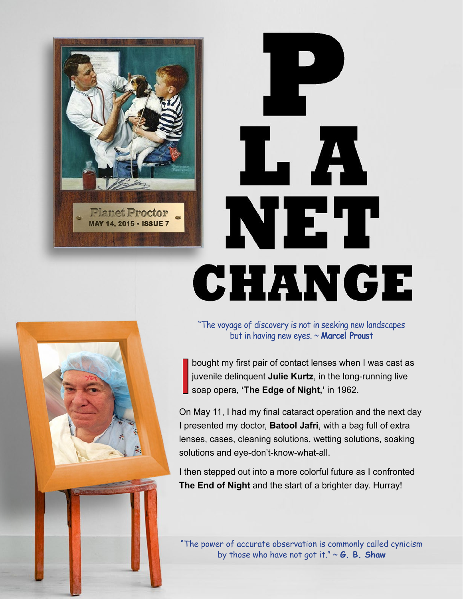

# LA NET CHANGE

"The voyage of discovery is not in seeking new landscapes but in having new eyes. ~ **Marcel Proust**

I bought my first pair of contact lenses when I was cast as juvenile delinquent **Julie Kurtz**, in the long-running live soap opera, **'The Edge of Night,'** in 1962.

On May 11, I had my final cataract operation and the next day I presented my doctor, **Batool Jafri**, with a bag full of extra lenses, cases, cleaning solutions, wetting solutions, soaking solutions and eye-don't-know-what-all.

I then stepped out into a more colorful future as I confronted **The End of Night** and the start of a brighter day. Hurray!

"The power of accurate observation is commonly called cynicism by those who have not got it." ~ **G. B. Shaw**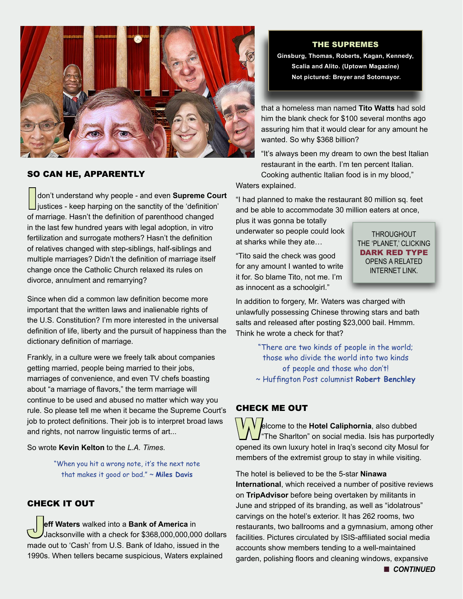

### SO CAN HE, APPARENTLY

Idon't understand why people - and even **Supreme Court** justices - keep harping on the sanctity of the 'definition' of marriage. Hasn't the definition of parenthood changed in the last few hundred years with legal adoption, in vitro fertilization and surrogate mothers? Hasn't the definition of relatives changed with step-siblings, half-siblings and multiple marriages? Didn't the definition of marriage itself change once the Catholic Church relaxed its rules on divorce, annulment and remarrying?

Since when did a common law definition become more important that the written laws and inalienable rights of the U.S. Constitution? I'm more interested in the universal definition of life, liberty and the pursuit of happiness than the dictionary definition of marriage.

Frankly, in a culture were we freely talk about companies getting married, people being married to their jobs, marriages of convenience, and even TV chefs boasting about "a marriage of flavors," the term marriage will continue to be used and abused no matter which way you rule. So please tell me when it became the Supreme Court's job to protect definitions. Their job is to interpret broad laws and rights, not narrow linguistic terms of art...

So wrote **Kevin Kelton** to the *L.A. Times*.

"When you hit a wrong note, it's the next note that makes it good or bad." ~ **Miles Davis**

## CHECK IT OUT

J**eff Waters** walked into a **Bank of America** in Jacksonville with a check for \$368,000,000,000 dollars made out to 'Cash' from U.S. Bank of Idaho, issued in the 1990s. When tellers became suspicious, Waters explained

THE SUPREMES

**Ginsburg, Thomas, Roberts, Kagan, Kennedy, Scalia and Alito. (Uptown Magazine) Not pictured: Breyer and Sotomayor.** 

that a homeless man named **Tito Watts** had sold him the blank check for \$100 several months ago assuring him that it would clear for any amount he wanted. So why \$368 billion?

"It's always been my dream to own the best Italian restaurant in the earth. I'm ten percent Italian. Cooking authentic Italian food is in my blood,"

Waters explained.

"I had planned to make the restaurant 80 million sq. feet and be able to accommodate 30 million eaters at once,

plus it was gonna be totally underwater so people could look at sharks while they ate…

"Tito said the check was good for any amount I wanted to write it for. So blame Tito, not me. I'm as innocent as a schoolgirl."

**THROUGHOUT** THE 'PLANET,' CLICKING DARK RED TYPE OPENS A RELATED INTERNET LINK.

In addition to forgery, Mr. Waters was charged with unlawfully possessing Chinese throwing stars and bath salts and released after posting \$23,000 bail. Hmmm. Think he wrote a check for that?

> "There are two kinds of people in the world; those who divide the world into two kinds of people and those who don't! ~ Huffington Post columnist **Robert Benchley**

## CHECK ME OUT

**W**elcome to the **Hotel Caliphornia**, also dubbed  $\int$  The Sharlton" on social media. Isis has purportedly opened its own luxury hotel in Iraq's second city Mosul for members of the extremist group to stay in while visiting.

The hotel is believed to be the 5-star **Ninawa International**, which received a number of positive reviews on **TripAdvisor** before being overtaken by militants in June and stripped of its branding, as well as "idolatrous" carvings on the hotel's exterior. It has 262 rooms, two restaurants, two ballrooms and a gymnasium, among other facilities. Pictures circulated by ISIS-affiliated social media accounts show members tending to a well-maintained garden, polishing floors and cleaning windows, expansive

**n** CONTINUED